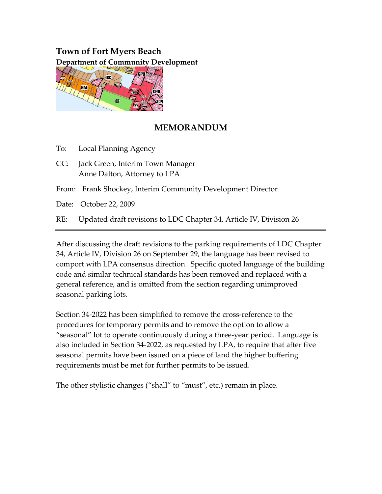# **Town of Fort Myers Beach Department of Community Development**



# **MEMORANDUM**

To: Local Planning Agency

CC: Jack Green, Interim Town Manager Anne Dalton, Attorney to LPA

From: Frank Shockey, Interim Community Development Director

Date: October 22, 2009

RE: Updated draft revisions to LDC Chapter 34, Article IV, Division 26

After discussing the draft revisions to the parking requirements of LDC Chapter 34, Article IV, Division 26 on September 29, the language has been revised to comport with LPA consensus direction. Specific quoted language of the building code and similar technical standards has been removed and replaced with a general reference, and is omitted from the section regarding unimproved seasonal parking lots.

Section 34‐2022 has been simplified to remove the cross‐reference to the procedures for temporary permits and to remove the option to allow a "seasonal" lot to operate continuously during a three‐year period. Language is also included in Section 34‐2022, as requested by LPA, to require that after five seasonal permits have been issued on a piece of land the higher buffering requirements must be met for further permits to be issued.

The other stylistic changes ("shall" to "must", etc.) remain in place.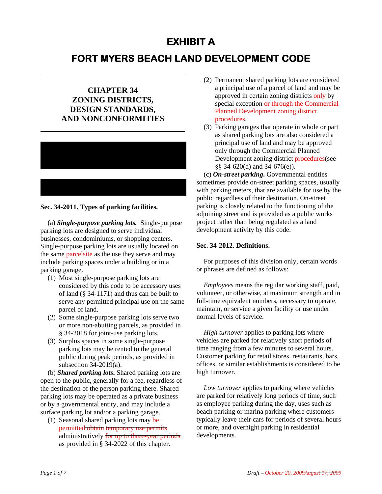# **EXHIBIT A**

# **FORT MYERS BEACH LAND DEVELOPMENT CODE**

# **CHAPTER 34 ZONING DISTRICTS, DESIGN STANDARDS, AND NONCONFORMITIES**



### **Sec. 34-2011. Types of parking facilities.**

(a) *Single-purpose parking lots.* Single-purpose parking lots are designed to serve individual businesses, condominiums, or shopping centers. Single-purpose parking lots are usually located on the same parcelsite as the use they serve and may include parking spaces under a building or in a parking garage.

- (1) Most single-purpose parking lots are considered by this code to be accessory uses of land (§ 34-1171) and thus can be built to serve any permitted principal use on the same parcel of land.
- (2) Some single-purpose parking lots serve two or more non-abutting parcels, as provided in § 34-2018 for joint-use parking lots.
- (3) Surplus spaces in some single-purpose parking lots may be rented to the general public during peak periods, as provided in subsection 34-2019(a).

(b) *Shared parking lots***.** Shared parking lots are open to the public, generally for a fee, regardless of the destination of the person parking there. Shared parking lots may be operated as a private business or by a governmental entity, and may include a surface parking lot and/or a parking garage.

(1) Seasonal shared parking lots may be permitted obtain temporary use permits administratively for up to three-year periods as provided in § 34-2022 of this chapter.

- (2) Permanent shared parking lots are considered a principal use of a parcel of land and may be approved in certain zoning districts only by special exception or through the Commercial Planned Development zoning district procedures.
- (3) Parking garages that operate in whole or part as shared parking lots are also considered a principal use of land and may be approved only through the Commercial Planned Development zoning district procedures(see §§ 34-620(d) and 34-676(e)).

(c) *On-street parking***.** Governmental entities sometimes provide on-street parking spaces, usually with parking meters, that are available for use by the public regardless of their destination. On-street parking is closely related to the functioning of the adjoining street and is provided as a public works project rather than being regulated as a land development activity by this code.

## **Sec. 34-2012. Definitions.**

For purposes of this division only, certain words or phrases are defined as follows:

*Employees* means the regular working staff, paid, volunteer, or otherwise, at maximum strength and in full-time equivalent numbers, necessary to operate, maintain, or service a given facility or use under normal levels of service.

*High turnover* applies to parking lots where vehicles are parked for relatively short periods of time ranging from a few minutes to several hours. Customer parking for retail stores, restaurants, bars, offices, or similar establishments is considered to be high turnover.

*Low turnover* applies to parking where vehicles are parked for relatively long periods of time, such as employee parking during the day, uses such as beach parking or marina parking where customers typically leave their cars for periods of several hours or more, and overnight parking in residential developments.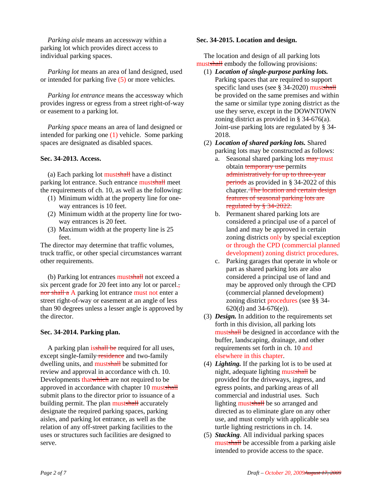*Parking aisle* means an accessway within a parking lot which provides direct access to individual parking spaces.

*Parking lot* means an area of land designed, used or intended for parking five (5) or more vehicles*.*

*Parking lot entrance* means the accessway which provides ingress or egress from a street right-of-way or easement to a parking lot.

*Parking space* means an area of land designed or intended for parking one (1) vehicle. Some parking spaces are designated as disabled spaces.

## **Sec. 34-2013. Access.**

(a) Each parking lot mustshall have a distinct parking lot entrance. Such entrance mustshall meet the requirements of ch. 10, as well as the following:

- (1) Minimum width at the property line for oneway entrances is 10 feet.
- (2) Minimum width at the property line for twoway entrances is 20 feet.
- (3) Maximum width at the property line is 25 feet.

The director may determine that traffic volumes, truck traffic, or other special circumstances warrant other requirements.

(b) Parking lot entrances mustshall not exceed a six percent grade for 20 feet into any lot or parcel., nor shall a A parking lot entrance must not enter a street right-of-way or easement at an angle of less than 90 degrees unless a lesser angle is approved by the director.

# **Sec. 34-2014. Parking plan.**

A parking plan is shall be required for all uses, except single-family **residence** and two-family dwelling units, and mustshall be submitted for review and approval in accordance with ch. 10. Developments thatwhich are not required to be approved in accordance with chapter 10 mustshall submit plans to the director prior to issuance of a building permit. The plan mustshall accurately designate the required parking spaces, parking aisles, and parking lot entrance, as well as the relation of any off-street parking facilities to the uses or structures such facilities are designed to serve.

### **Sec. 34-2015. Location and design.**

The location and design of all parking lots mustshall embody the following provisions:

- (1) *Location of single-purpose parking lots.* Parking spaces that are required to support specific land uses (see § 34-2020) mustshall be provided on the same premises and within the same or similar type zoning district as the use they serve, except in the DOWNTOWN zoning district as provided in § 34-676(a). Joint-use parking lots are regulated by § 34- 2018.
- (2) *Location of shared parking lots.* Shared parking lots may be constructed as follows:
	- a. Seasonal shared parking lots may must obtain **temporary** use permits administratively for up to three-year periods as provided in § 34-2022 of this chapter. The location and certain design features of seasonal parking lots are regulated by § 34-2022.
	- b. Permanent shared parking lots are considered a principal use of a parcel of land and may be approved in certain zoning districts only by special exception or through the CPD (commercial planned development) zoning district procedures.
	- c. Parking garages that operate in whole or part as shared parking lots are also considered a principal use of land and may be approved only through the CPD (commercial planned development) zoning district procedures (see §§ 34- 620(d) and 34-676(e)).
- (3) *Design.* In addition to the requirements set forth in this division, all parking lots mustshall be designed in accordance with the buffer, landscaping, drainage, and other requirements set forth in ch. 10 and elsewhere in this chapter.
- (4) *Lighting.* If the parking lot is to be used at night, adequate lighting mustshall be provided for the driveways, ingress, and egress points, and parking areas of all commercial and industrial uses. Such lighting mustshall be so arranged and directed as to eliminate glare on any other use, and must comply with applicable sea turtle lighting restrictions in ch. 14.
- (5) *Stacking*. All individual parking spaces mustshall be accessible from a parking aisle intended to provide access to the space.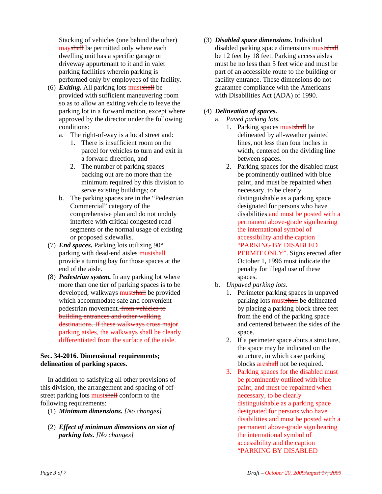Stacking of vehicles (one behind the other) mayshall be permitted only where each dwelling unit has a specific garage or driveway appurtenant to it and in valet parking facilities wherein parking is performed only by employees of the facility.

- (6) *Exiting.* All parking lots mustshall be provided with sufficient maneuvering room so as to allow an exiting vehicle to leave the parking lot in a forward motion, except where approved by the director under the following conditions:
	- a. The right-of-way is a local street and:
		- 1. There is insufficient room on the parcel for vehicles to turn and exit in a forward direction, and
		- 2. The number of parking spaces backing out are no more than the minimum required by this division to serve existing buildings; or
	- b. The parking spaces are in the "Pedestrian Commercial" category of the comprehensive plan and do not unduly interfere with critical congested road segments or the normal usage of existing or proposed sidewalks.
- (7) *End spaces.* Parking lots utilizing 90° parking with dead-end aisles mustshall provide a turning bay for those spaces at the end of the aisle.
- (8) *Pedestrian system.* In any parking lot where more than one tier of parking spaces is to be developed, walkways mustshall be provided which accommodate safe and convenient pedestrian movement. from vehicles to building entrances and other walking destinations. If these walkways cross major parking aisles, the walkways shall be clearly differentiated from the surface of the aisle.

# **Sec. 34-2016. Dimensional requirements; delineation of parking spaces.**

In addition to satisfying all other provisions of this division, the arrangement and spacing of offstreet parking lots must shall conform to the following requirements:

- (1) *Minimum dimensions. [No changes]*
- (2) *Effect of minimum dimensions on size of parking lots. [No changes]*

(3) *Disabled space dimensions.* Individual disabled parking space dimensions mustshall be 12 feet by 18 feet. Parking access aisles must be no less than 5 feet wide and must be part of an accessible route to the building or facility entrance. These dimensions do not guarantee compliance with the Americans with Disabilities Act (ADA) of 1990.

# (4) *Delineation of spaces.*

- a. *Paved parking lots.*
	- 1. Parking spaces mustshall be delineated by all-weather painted lines, not less than four inches in width, centered on the dividing line between spaces.
	- 2. Parking spaces for the disabled must be prominently outlined with blue paint, and must be repainted when necessary, to be clearly distinguishable as a parking space designated for persons who have disabilities and must be posted with a permanent above-grade sign bearing the international symbol of accessibility and the caption "PARKING BY DISABLED PERMIT ONLY". Signs erected after October 1, 1996 must indicate the penalty for illegal use of these spaces.
- b. *Unpaved parking lots.*
	- 1. Perimeter parking spaces in unpaved parking lots mustshall be delineated by placing a parking block three feet from the end of the parking space and centered between the sides of the space.
	- 2. If a perimeter space abuts a structure, the space may be indicated on the structure, in which case parking blocks are shall not be required.
	- 3. Parking spaces for the disabled must be prominently outlined with blue paint, and must be repainted when necessary, to be clearly distinguishable as a parking space designated for persons who have disabilities and must be posted with a permanent above-grade sign bearing the international symbol of accessibility and the caption "PARKING BY DISABLED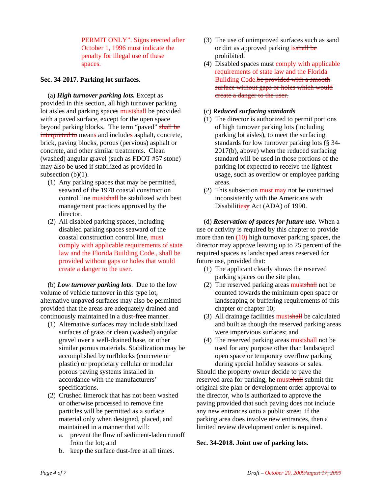PERMIT ONLY". Signs erected after October 1, 1996 must indicate the penalty for illegal use of these spaces.

### **Sec. 34-2017. Parking lot surfaces.**

(a) *High turnover parking lots.* Except as provided in this section, all high turnover parking lot aisles and parking spaces mustshall be provided with a paved surface, except for the open space beyond parking blocks. The term "paved" shall be interpreted to means and includes asphalt, concrete, brick, paving blocks, porous (pervious) asphalt or concrete, and other similar treatments. Clean (washed) angular gravel (such as FDOT #57 stone) may also be used if stabilized as provided in subsection  $(b)(1)$ .

- (1) Any parking spaces that may be permitted, seaward of the 1978 coastal construction control line mustshall be stabilized with best management practices approved by the director.
- (2) All disabled parking spaces, including disabled parking spaces seaward of the coastal construction control line, must comply with applicable requirements of state law and the Florida Building Code., shall be provided without gaps or holes that would create a danger to the user.

(b) *Low turnover parking lots*. Due to the low volume of vehicle turnover in this type lot, alternative unpaved surfaces may also be permitted provided that the areas are adequately drained and continuously maintained in a dust-free manner.

- (1) Alternative surfaces may include stabilized surfaces of grass or clean (washed) angular gravel over a well-drained base, or other similar porous materials. Stabilization may be accomplished by turfblocks (concrete or plastic) or proprietary cellular or modular porous paving systems installed in accordance with the manufacturers' specifications.
- (2) Crushed limerock that has not been washed or otherwise processed to remove fine particles will be permitted as a surface material only when designed, placed, and maintained in a manner that will:
	- a. prevent the flow of sediment-laden runoff from the lot; and
	- b. keep the surface dust-free at all times.
- (3) The use of unimproved surfaces such as sand or dirt as approved parking is shall be prohibited.
- (4) Disabled spaces must comply with applicable requirements of state law and the Florida Building Code.be provided with a smooth surface without gaps or holes which would create a danger to the user.

#### (c) *Reduced surfacing standards*

- (1) The director is authorized to permit portions of high turnover parking lots (including parking lot aisles), to meet the surfacing standards for low turnover parking lots (§ 34- 2017(b), above) when the reduced surfacing standard will be used in those portions of the parking lot expected to receive the lightest usage, such as overflow or employee parking areas.
- (2) This subsection must  $\frac{m}{x}$  not be construed inconsistently with the Americans with Disabilitiesy Act (ADA) of 1990.

(d) *Reservation of spaces for future use.* When a use or activity is required by this chapter to provide more than ten  $(10)$  high turnover parking spaces, the director may approve leaving up to 25 percent of the required spaces as landscaped areas reserved for future use, provided that:

- (1) The applicant clearly shows the reserved parking spaces on the site plan;
- (2) The reserved parking areas mustshall not be counted towards the minimum open space or landscaping or buffering requirements of this chapter or chapter 10;
- (3) All drainage facilities mustshall be calculated and built as though the reserved parking areas were impervious surfaces; and
- (4) The reserved parking areas mustshall not be used for any purpose other than landscaped open space or temporary overflow parking during special holiday seasons or sales.

Should the property owner decide to pave the reserved area for parking, he mustshall submit the original site plan or development order approval to the director, who is authorized to approve the paving provided that such paving does not include any new entrances onto a public street. If the parking area does involve new entrances, then a limited review development order is required.

# **Sec. 34-2018. Joint use of parking lots.**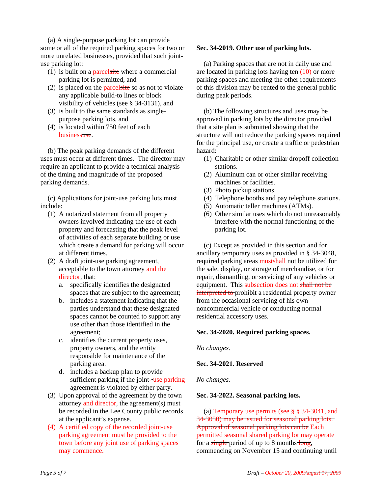(a) A single-purpose parking lot can provide some or all of the required parking spaces for two or more unrelated businesses, provided that such jointuse parking lot:

- (1) is built on a parcelsite where a commercial parking lot is permitted, and
- (2) is placed on the parcelsite so as not to violate any applicable build-to lines or block visibility of vehicles (see § 34-3131), and
- (3) is built to the same standards as singlepurpose parking lots, and
- (4) is located within 750 feet of each businessuse.

(b) The peak parking demands of the different uses must occur at different times. The director may require an applicant to provide a technical analysis of the timing and magnitude of the proposed parking demands.

(c) Applications for joint-use parking lots must include:

- (1) A notarized statement from all property owners involved indicating the use of each property and forecasting that the peak level of activities of each separate building or use which create a demand for parking will occur at different times.
- (2) A draft joint-use parking agreement, acceptable to the town attorney and the director, that:
	- a. specifically identifies the designated spaces that are subject to the agreement;
	- b. includes a statement indicating that the parties understand that these designated spaces cannot be counted to support any use other than those identified in the agreement;
	- c. identifies the current property uses, property owners, and the entity responsible for maintenance of the parking area.
	- d. includes a backup plan to provide sufficient parking if the joint-use parking agreement is violated by either party.
- (3) Upon approval of the agreement by the town attorney and director, the agreement(s) must be recorded in the Lee County public records at the applicant's expense.
- (4) A certified copy of the recorded joint-use parking agreement must be provided to the town before any joint use of parking spaces may commence.

# **Sec. 34-2019. Other use of parking lots.**

(a) Parking spaces that are not in daily use and are located in parking lots having ten (10) or more parking spaces and meeting the other requirements of this division may be rented to the general public during peak periods.

(b) The following structures and uses may be approved in parking lots by the director provided that a site plan is submitted showing that the structure will not reduce the parking spaces required for the principal use, or create a traffic or pedestrian hazard:

- (1) Charitable or other similar dropoff collection stations.
- (2) Aluminum can or other similar receiving machines or facilities.
- (3) Photo pickup stations.
- (4) Telephone booths and pay telephone stations.
- (5) Automatic teller machines (ATMs).
- (6) Other similar uses which do not unreasonably interfere with the normal functioning of the parking lot.

(c) Except as provided in this section and for ancillary temporary uses as provided in § 34-3048, required parking areas mustshall not be utilized for the sale, display, or storage of merchandise, or for repair, dismantling, or servicing of any vehicles or equipment. This subsection does not shall not be interpreted to prohibit a residential property owner from the occasional servicing of his own noncommercial vehicle or conducting normal residential accessory uses.

# **Sec. 34-2020. Required parking spaces.**

*No changes.*

# **Sec. 34-2021. Reserved**

*No changes.*

# **Sec. 34-2022. Seasonal parking lots.**

(a) Temporary use permits (see  $\S$   $\S$   $34-3041$ , and 34-3050) may be issued for seasonal parking lots. Approval of seasonal parking lots can be Each permitted seasonal shared parking lot may operate for a single period of up to 8 months long, commencing on November 15 and continuing until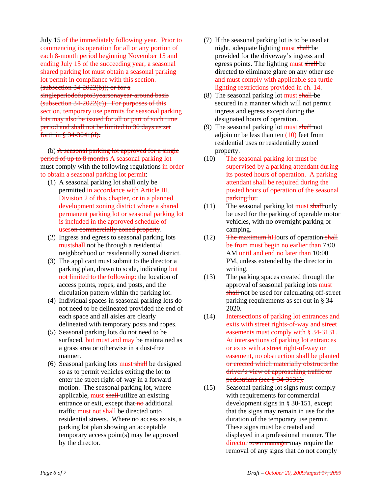July 15 of the immediately following year. Prior to commencing its operation for all or any portion of each 8-month period beginning November 15 and ending July 15 of the succeeding year, a seasonal shared parking lot must obtain a seasonal parking lot permit in compliance with this section. (subsection  $34-2022(b)$ ); or for a singleperiodofupto3yearsonayear-around basis (subsection  $34-2022(c)$ ). For purposes of this section, temporary use permits for seasonal parking lots may also be issued for all or part of such time period and shall not be limited to 30 days as set forth in § 34-3041(d).

(b) A seasonal parking lot approved for a single period of up to 8 months A seasonal parking lot must comply with the following regulations in order to obtain a seasonal parking lot permit:

- (1) A seasonal parking lot shall only be permitted in accordance with Article III, Division 2 of this chapter, or in a planned development zoning district where a shared permanent parking lot or seasonal parking lot is included in the approved schedule of useson commercially zoned property.
- (2) Ingress and egress to seasonal parking lots mustshall not be through a residential neighborhood or residentially zoned district.
- (3) The applicant must submit to the director a parking plan, drawn to scale, indicating but not limited to the following: the location of access points, ropes, and posts, and the circulation pattern within the parking lot.
- (4) Individual spaces in seasonal parking lots do not need to be delineated provided the end of each space and all aisles are clearly delineated with temporary posts and ropes.
- (5) Seasonal parking lots do not need to be surfaced, but must and may be maintained as a grass area or otherwise in a dust-free manner.
- (6) Seasonal parking lots must shall be designed so as to permit vehicles exiting the lot to enter the street right-of-way in a forward motion. The seasonal parking lot, where applicable, must shall utilize an existing entrance or exit, except that  $\theta$  additional traffic must not shall be directed onto residential streets. Where no access exists, a parking lot plan showing an acceptable temporary access point(s) may be approved by the director.
- (7) If the seasonal parking lot is to be used at night, adequate lighting must shall be provided for the driveway's ingress and egress points. The lighting must shall be directed to eliminate glare on any other use and must comply with applicable sea turtle lighting restrictions provided in ch. 14.
- (8) The seasonal parking lot must shall be secured in a manner which will not permit ingress and egress except during the designated hours of operation.
- (9) The seasonal parking lot must shall not adioin or be less than ten  $(10)$  feet from residential uses or residentially zoned property.
- (10) The seasonal parking lot must be supervised by a parking attendant during its posted hours of operation. A parking attendant shall be required during the posted hours of operation of the seasonal parking lot.
- $(11)$  The seasonal parking lot must shall only be used for the parking of operable motor vehicles, with no overnight parking or camping.
- $(12)$  The maximum hHours of operation shall be from must begin no earlier than 7:00 AM until and end no later than 10:00 PM, unless extended by the director in writing.
- (13) The parking spaces created through the approval of seasonal parking lots must shall not be used for calculating off-street parking requirements as set out in § 34- 2020.
- (14) Intersections of parking lot entrances and exits with street rights-of-way and street easements must comply with § 34-3131. At intersections of parking lot entrances or exits with a street right-of-way or easement, no obstruction shall be planted or erected which materially obstructs the driver's view of approaching traffic or pedestrians (see § 34-3131).
- (15) Seasonal parking lot signs must comply with requirements for commercial development signs in § 30-151, except that the signs may remain in use for the duration of the temporary use permit. These signs must be created and displayed in a professional manner. The director town manager may require the removal of any signs that do not comply